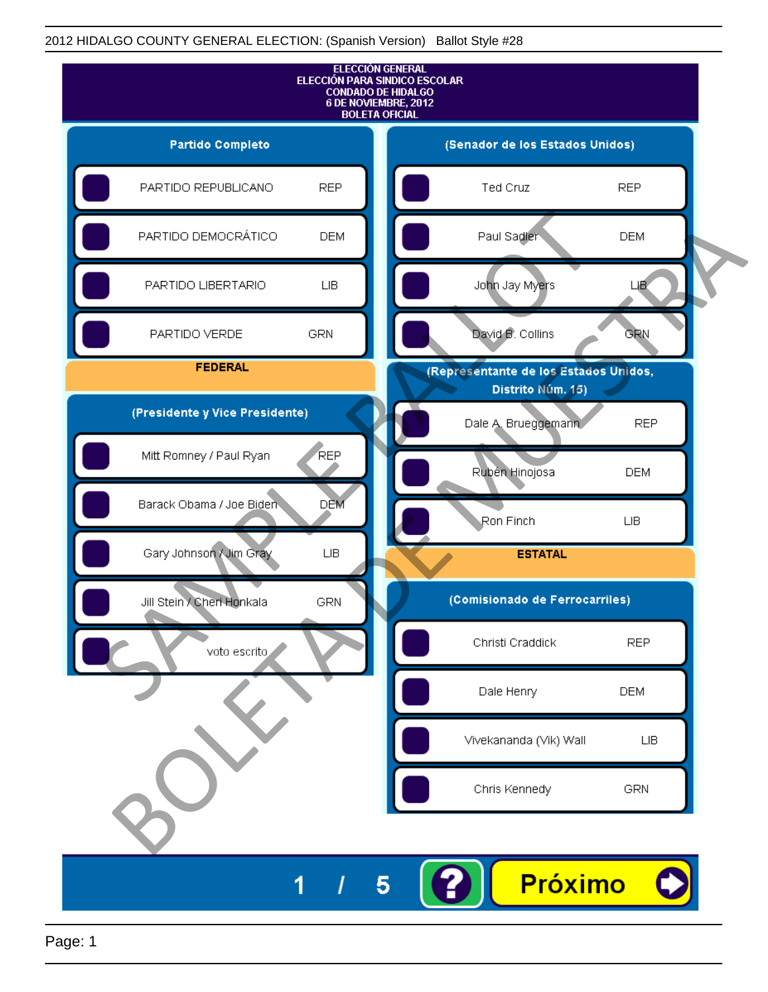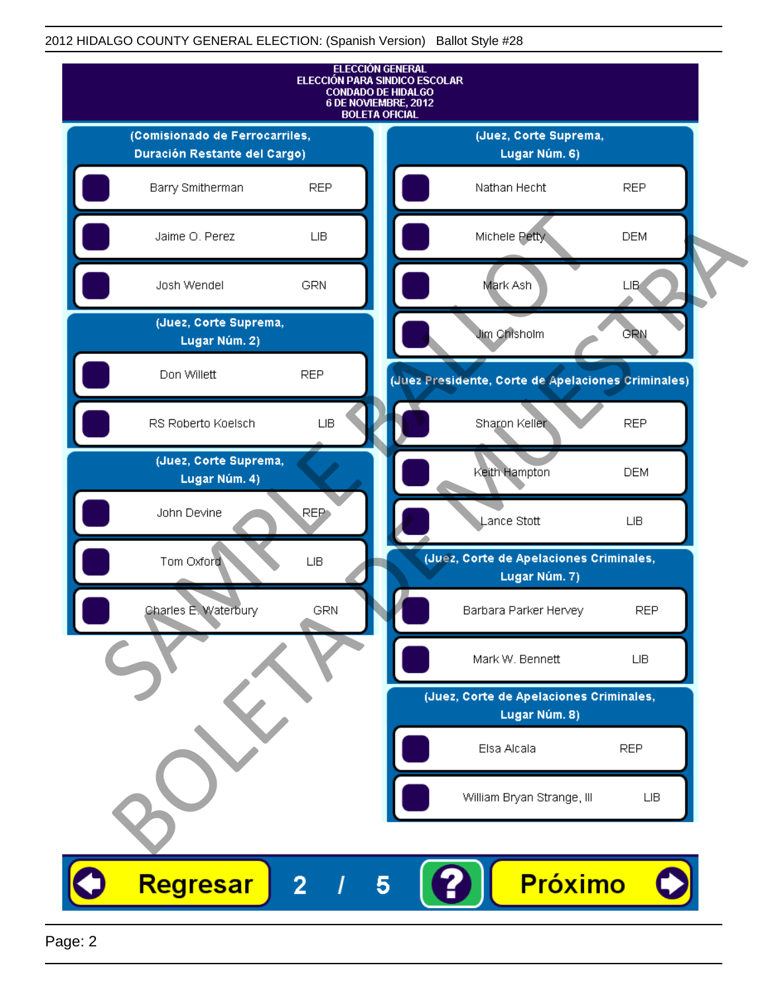

Page: 2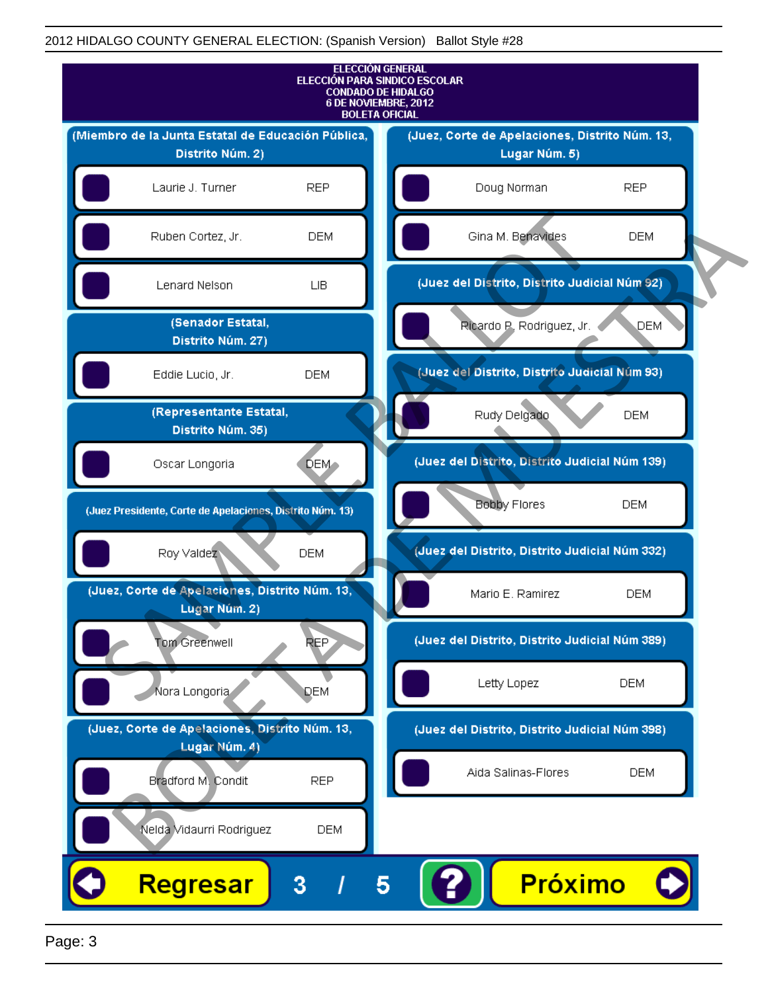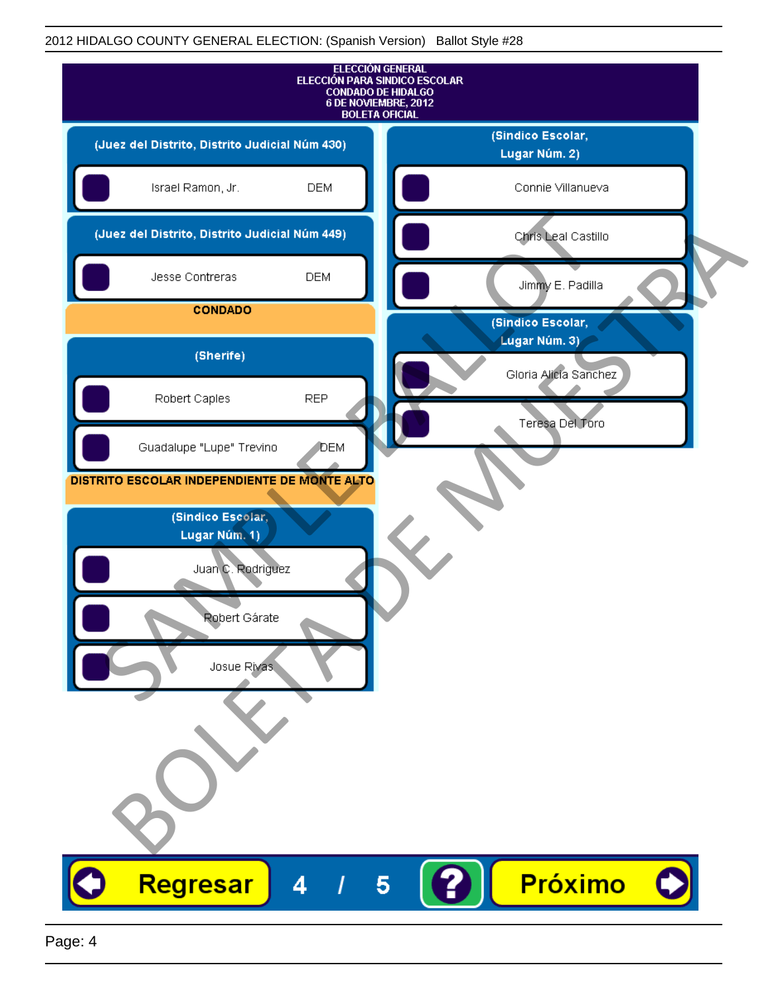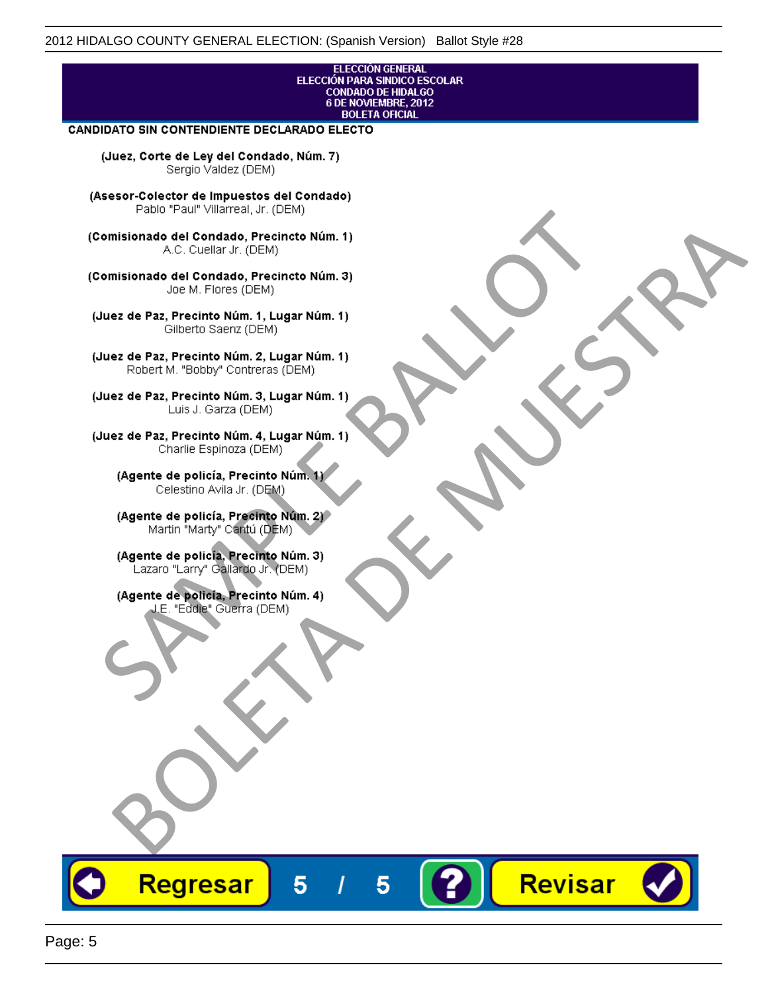# ELECCIÓN GENERAL<br>ELECCIÓN PARA SINDICO ESCOLAR<br>CONDADO DE HIDALGO<br>6 DE NOVIEMBRE, 2012 **BOLETA OFICIAL**

Revisar

### **CANDIDATO SIN CONTENDIENTE DECLARADO ELECTO**

(Juez, Corte de Ley del Condado, Núm. 7) Sergio Valdez (DEM)

(Asesor-Colector de Impuestos del Condado)

Fallo Fall Willdrea, J.I. (DEM)<br>
Consistionado el Condado, Precincto Núm. 1)<br>
A.C. Cuellar Jr. (DEM)<br>
Ullez de Paz, Precinto Núm. 1)<br>
Juez de Paz, Precinto Núm. 1, Lugar Núm. 1)<br>
Gilberto Sentr (DEM)<br>
Robert M. "Bobby" Con misionado del Condiado, Precincto Núm. 1)<br>
Andro del Condiado, Precincto Núm. 3)<br>
ez de Paz, Precinto Núm. 21<br>
algo M. Picer Lo Saerz, Cichi (DEM)<br>
algo M. Picer Lo Saerz, Cichi (DEM)<br>
algo M. Picer Lo Saerz, Cichi (DEM)<br>

Regresar

5

5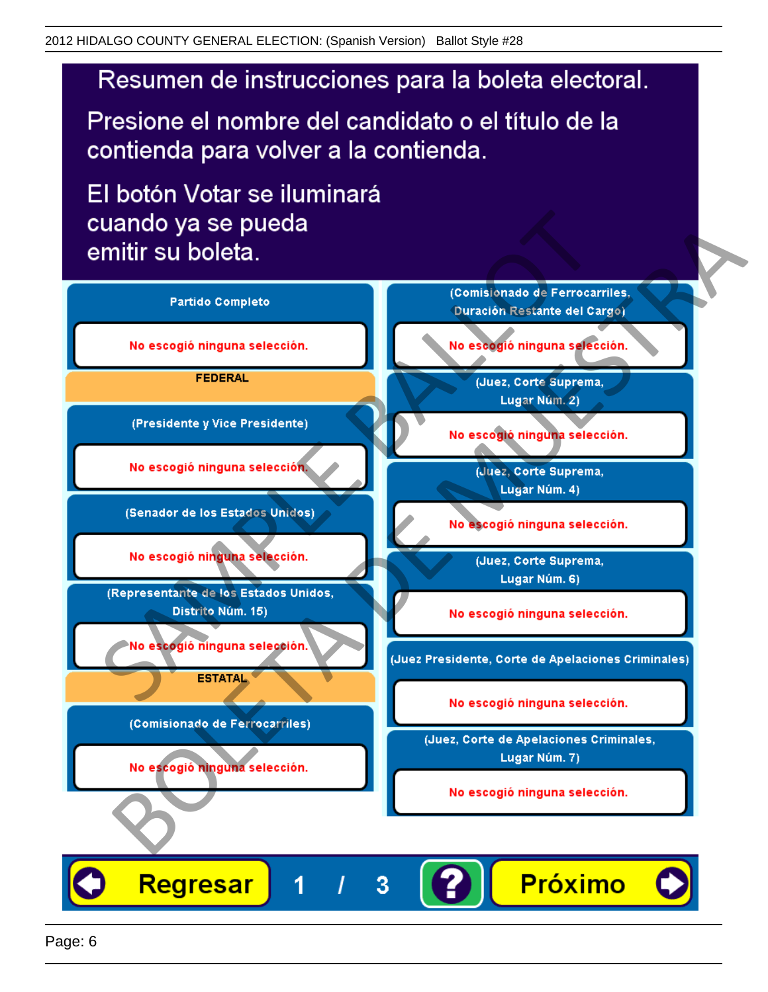## Resumen de instrucciones para la boleta electoral.

Presione el nombre del candidato o el título de la contienda para volver a la contienda.

El botón Votar se iluminará

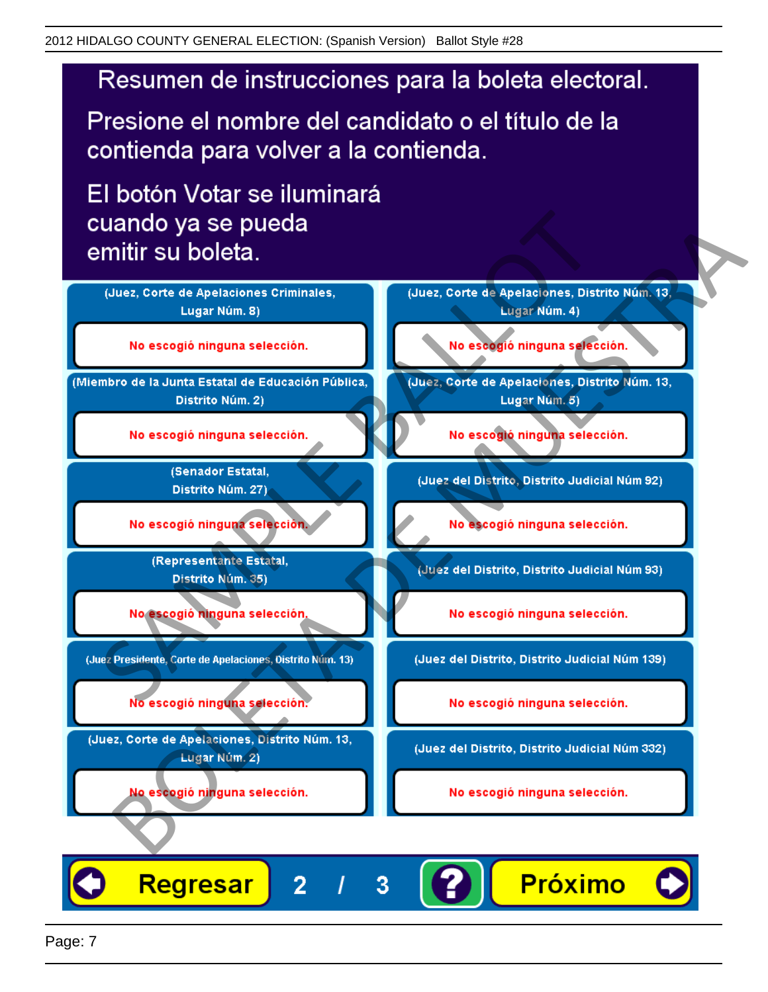## Resumen de instrucciones para la boleta electoral.

Presione el nombre del candidato o el título de la contienda para volver a la contienda.

El botón Votar se iluminará